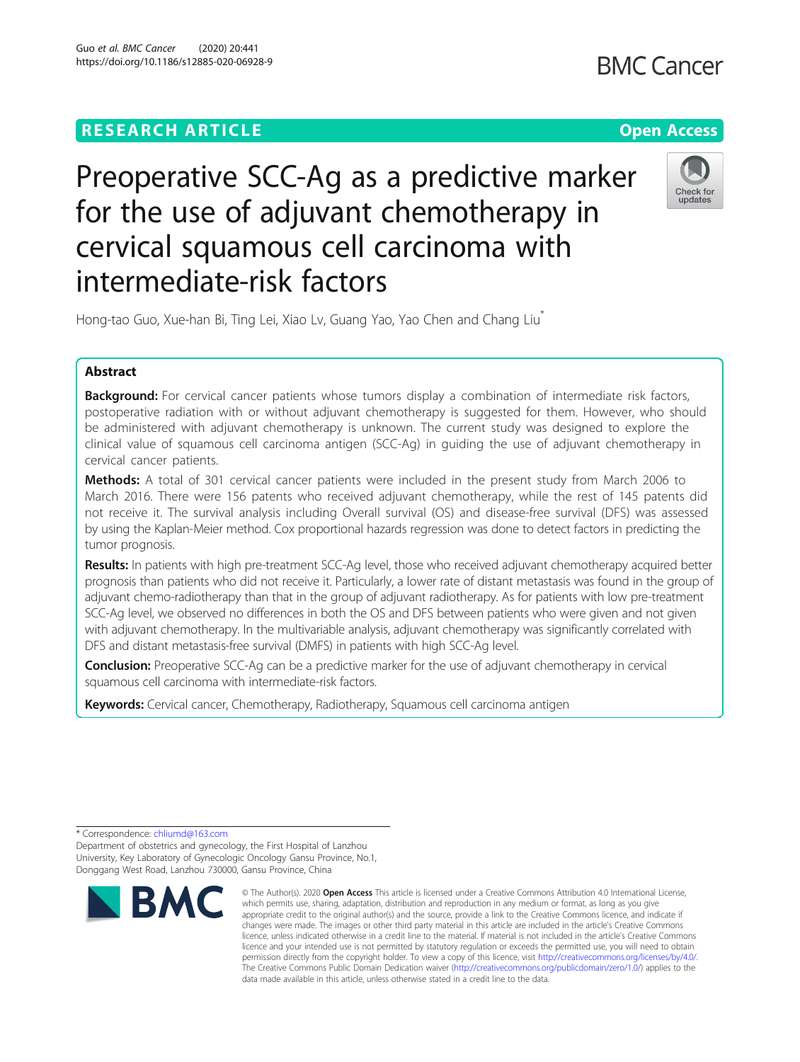Guo et al. BMC Cancer (2020) 20:441

# **RESEARCH ARTICLE Example 2014 12:30 The Contract of Contract ACCESS**

# Preoperative SCC-Ag as a predictive marker for the use of adjuvant chemotherapy in cervical squamous cell carcinoma with intermediate-risk factors



Hong-tao Guo, Xue-han Bi, Ting Lei, Xiao Lv, Guang Yao, Yao Chen and Chang Liu<sup>\*</sup>

# Abstract

Background: For cervical cancer patients whose tumors display a combination of intermediate risk factors, postoperative radiation with or without adjuvant chemotherapy is suggested for them. However, who should be administered with adjuvant chemotherapy is unknown. The current study was designed to explore the clinical value of squamous cell carcinoma antigen (SCC-Ag) in guiding the use of adjuvant chemotherapy in cervical cancer patients.

**Methods:** A total of 301 cervical cancer patients were included in the present study from March 2006 to March 2016. There were 156 patents who received adjuvant chemotherapy, while the rest of 145 patents did not receive it. The survival analysis including Overall survival (OS) and disease-free survival (DFS) was assessed by using the Kaplan-Meier method. Cox proportional hazards regression was done to detect factors in predicting the tumor prognosis.

Results: In patients with high pre-treatment SCC-Ag level, those who received adjuvant chemotherapy acquired better prognosis than patients who did not receive it. Particularly, a lower rate of distant metastasis was found in the group of adjuvant chemo-radiotherapy than that in the group of adjuvant radiotherapy. As for patients with low pre-treatment SCC-Ag level, we observed no differences in both the OS and DFS between patients who were given and not given with adjuvant chemotherapy. In the multivariable analysis, adjuvant chemotherapy was significantly correlated with DFS and distant metastasis-free survival (DMFS) in patients with high SCC-Ag level.

**Conclusion:** Preoperative SCC-Ag can be a predictive marker for the use of adjuvant chemotherapy in cervical squamous cell carcinoma with intermediate-risk factors.

Keywords: Cervical cancer, Chemotherapy, Radiotherapy, Squamous cell carcinoma antigen

Department of obstetrics and gynecology, the First Hospital of Lanzhou University, Key Laboratory of Gynecologic Oncology Gansu Province, No.1, Donggang West Road, Lanzhou 730000, Gansu Province, China



<sup>©</sup> The Author(s), 2020 **Open Access** This article is licensed under a Creative Commons Attribution 4.0 International License, which permits use, sharing, adaptation, distribution and reproduction in any medium or format, as long as you give appropriate credit to the original author(s) and the source, provide a link to the Creative Commons licence, and indicate if changes were made. The images or other third party material in this article are included in the article's Creative Commons licence, unless indicated otherwise in a credit line to the material. If material is not included in the article's Creative Commons licence and your intended use is not permitted by statutory regulation or exceeds the permitted use, you will need to obtain permission directly from the copyright holder. To view a copy of this licence, visit [http://creativecommons.org/licenses/by/4.0/.](http://creativecommons.org/licenses/by/4.0/) The Creative Commons Public Domain Dedication waiver [\(http://creativecommons.org/publicdomain/zero/1.0/](http://creativecommons.org/publicdomain/zero/1.0/)) applies to the data made available in this article, unless otherwise stated in a credit line to the data.

<sup>\*</sup> Correspondence: [chliumd@163.com](mailto:chliumd@163.com)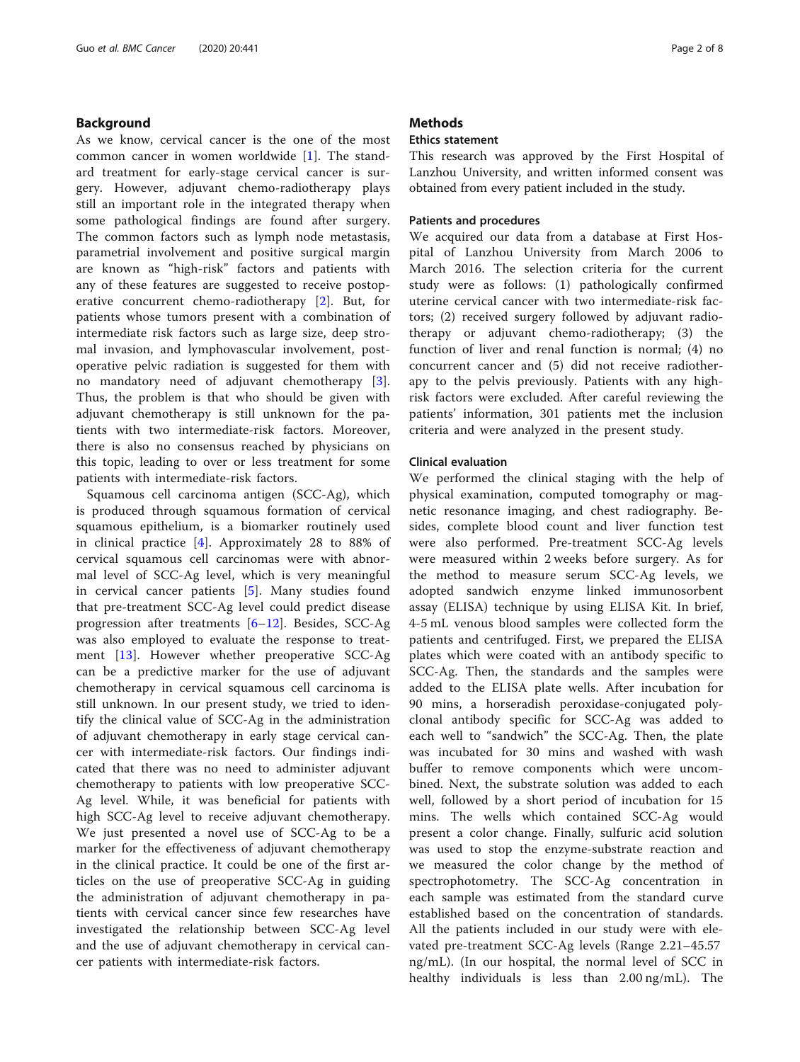# Background

As we know, cervical cancer is the one of the most common cancer in women worldwide [\[1](#page-6-0)]. The standard treatment for early-stage cervical cancer is surgery. However, adjuvant chemo-radiotherapy plays still an important role in the integrated therapy when some pathological findings are found after surgery. The common factors such as lymph node metastasis, parametrial involvement and positive surgical margin are known as "high-risk" factors and patients with any of these features are suggested to receive postoperative concurrent chemo-radiotherapy [[2\]](#page-6-0). But, for patients whose tumors present with a combination of intermediate risk factors such as large size, deep stromal invasion, and lymphovascular involvement, postoperative pelvic radiation is suggested for them with no mandatory need of adjuvant chemotherapy [\[3](#page-6-0)]. Thus, the problem is that who should be given with adjuvant chemotherapy is still unknown for the patients with two intermediate-risk factors. Moreover, there is also no consensus reached by physicians on this topic, leading to over or less treatment for some patients with intermediate-risk factors.

Squamous cell carcinoma antigen (SCC-Ag), which is produced through squamous formation of cervical squamous epithelium, is a biomarker routinely used in clinical practice [\[4](#page-7-0)]. Approximately 28 to 88% of cervical squamous cell carcinomas were with abnormal level of SCC-Ag level, which is very meaningful in cervical cancer patients [[5\]](#page-7-0). Many studies found that pre-treatment SCC-Ag level could predict disease progression after treatments [[6](#page-7-0)–[12](#page-7-0)]. Besides, SCC-Ag was also employed to evaluate the response to treatment [[13\]](#page-7-0). However whether preoperative SCC-Ag can be a predictive marker for the use of adjuvant chemotherapy in cervical squamous cell carcinoma is still unknown. In our present study, we tried to identify the clinical value of SCC-Ag in the administration of adjuvant chemotherapy in early stage cervical cancer with intermediate-risk factors. Our findings indicated that there was no need to administer adjuvant chemotherapy to patients with low preoperative SCC-Ag level. While, it was beneficial for patients with high SCC-Ag level to receive adjuvant chemotherapy. We just presented a novel use of SCC-Ag to be a marker for the effectiveness of adjuvant chemotherapy in the clinical practice. It could be one of the first articles on the use of preoperative SCC-Ag in guiding the administration of adjuvant chemotherapy in patients with cervical cancer since few researches have investigated the relationship between SCC-Ag level and the use of adjuvant chemotherapy in cervical cancer patients with intermediate-risk factors.

# **Methods**

# Ethics statement

This research was approved by the First Hospital of Lanzhou University, and written informed consent was obtained from every patient included in the study.

# Patients and procedures

We acquired our data from a database at First Hospital of Lanzhou University from March 2006 to March 2016. The selection criteria for the current study were as follows: (1) pathologically confirmed uterine cervical cancer with two intermediate-risk factors; (2) received surgery followed by adjuvant radiotherapy or adjuvant chemo-radiotherapy; (3) the function of liver and renal function is normal; (4) no concurrent cancer and (5) did not receive radiotherapy to the pelvis previously. Patients with any highrisk factors were excluded. After careful reviewing the patients' information, 301 patients met the inclusion criteria and were analyzed in the present study.

# Clinical evaluation

We performed the clinical staging with the help of physical examination, computed tomography or magnetic resonance imaging, and chest radiography. Besides, complete blood count and liver function test were also performed. Pre-treatment SCC-Ag levels were measured within 2 weeks before surgery. As for the method to measure serum SCC-Ag levels, we adopted sandwich enzyme linked immunosorbent assay (ELISA) technique by using ELISA Kit. In brief, 4-5 mL venous blood samples were collected form the patients and centrifuged. First, we prepared the ELISA plates which were coated with an antibody specific to SCC-Ag. Then, the standards and the samples were added to the ELISA plate wells. After incubation for 90 mins, a horseradish peroxidase-conjugated polyclonal antibody specific for SCC-Ag was added to each well to "sandwich" the SCC-Ag. Then, the plate was incubated for 30 mins and washed with wash buffer to remove components which were uncombined. Next, the substrate solution was added to each well, followed by a short period of incubation for 15 mins. The wells which contained SCC-Ag would present a color change. Finally, sulfuric acid solution was used to stop the enzyme-substrate reaction and we measured the color change by the method of spectrophotometry. The SCC-Ag concentration in each sample was estimated from the standard curve established based on the concentration of standards. All the patients included in our study were with elevated pre-treatment SCC-Ag levels (Range 2.21–45.57 ng/mL). (In our hospital, the normal level of SCC in healthy individuals is less than 2.00 ng/mL). The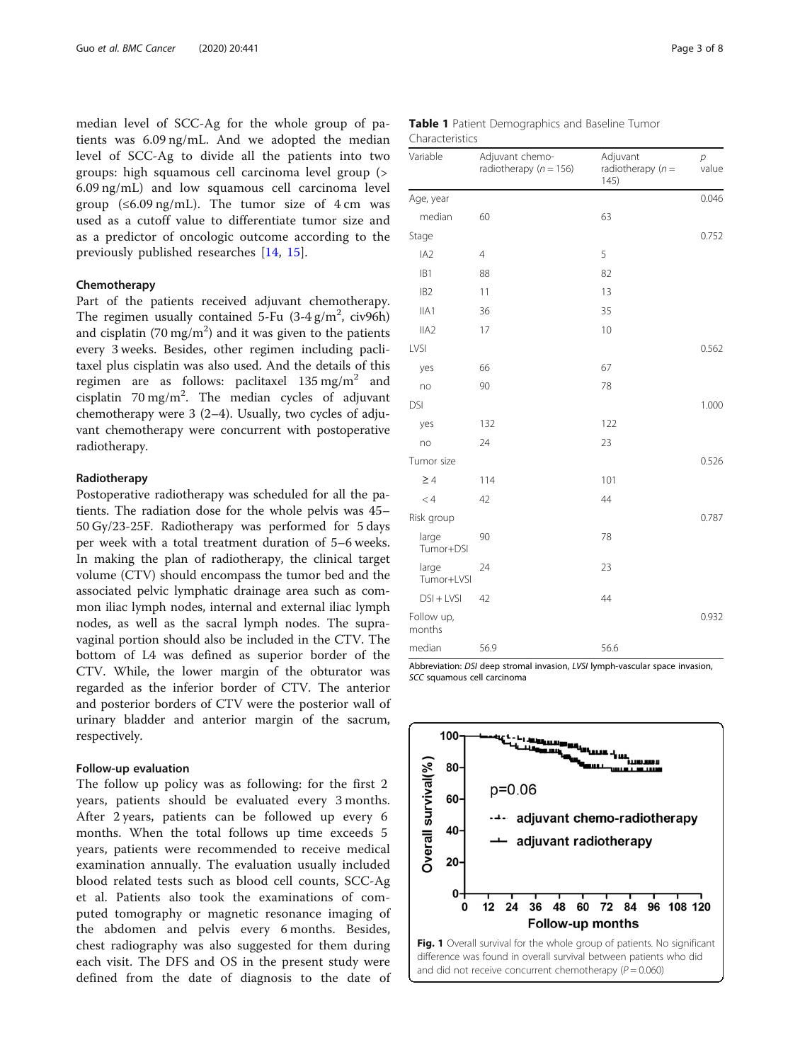<span id="page-2-0"></span>median level of SCC-Ag for the whole group of patients was 6.09 ng/mL. And we adopted the median level of SCC-Ag to divide all the patients into two groups: high squamous cell carcinoma level group (> 6.09 ng/mL) and low squamous cell carcinoma level group  $(\leq 6.09 \text{ ng/mL})$ . The tumor size of 4 cm was used as a cutoff value to differentiate tumor size and as a predictor of oncologic outcome according to the previously published researches [[14,](#page-7-0) [15\]](#page-7-0).

#### Chemotherapy

Part of the patients received adjuvant chemotherapy. The regimen usually contained 5-Fu  $(3-4)$   $g/m^2$ , civ96h) and cisplatin (70 mg/m<sup>2</sup>) and it was given to the patients every 3 weeks. Besides, other regimen including paclitaxel plus cisplatin was also used. And the details of this regimen are as follows: paclitaxel  $135 \text{ mg/m}^2$  and  $c$ isplatin 70 mg/m<sup>2</sup>. The median cycles of adjuvant chemotherapy were 3 (2–4). Usually, two cycles of adjuvant chemotherapy were concurrent with postoperative radiotherapy.

# Radiotherapy

Postoperative radiotherapy was scheduled for all the patients. The radiation dose for the whole pelvis was 45– 50 Gy/23-25F. Radiotherapy was performed for 5 days per week with a total treatment duration of 5–6 weeks. In making the plan of radiotherapy, the clinical target volume (CTV) should encompass the tumor bed and the associated pelvic lymphatic drainage area such as common iliac lymph nodes, internal and external iliac lymph nodes, as well as the sacral lymph nodes. The supravaginal portion should also be included in the CTV. The bottom of L4 was defined as superior border of the CTV. While, the lower margin of the obturator was regarded as the inferior border of CTV. The anterior and posterior borders of CTV were the posterior wall of urinary bladder and anterior margin of the sacrum, respectively.

# Follow-up evaluation

The follow up policy was as following: for the first 2 years, patients should be evaluated every 3 months. After 2 years, patients can be followed up every 6 months. When the total follows up time exceeds 5 years, patients were recommended to receive medical examination annually. The evaluation usually included blood related tests such as blood cell counts, SCC-Ag et al. Patients also took the examinations of computed tomography or magnetic resonance imaging of the abdomen and pelvis every 6 months. Besides, chest radiography was also suggested for them during each visit. The DFS and OS in the present study were defined from the date of diagnosis to the date of

|                 | <b>Table 1</b> Patient Demographics and Baseline Tumor |  |  |
|-----------------|--------------------------------------------------------|--|--|
| Characteristics |                                                        |  |  |

| Variable             | Adjuvant chemo-<br>radiotherapy ( $n = 156$ ) | Adjuvant<br>radiotherapy $(n =$<br>145) | $\overline{p}$<br>value |
|----------------------|-----------------------------------------------|-----------------------------------------|-------------------------|
| Age, year            |                                               |                                         | 0.046                   |
| median               | 60                                            | 63                                      |                         |
| Stage                |                                               |                                         | 0.752                   |
| IA <sub>2</sub>      | $\overline{4}$                                | 5                                       |                         |
| IB1                  | 88                                            | 82                                      |                         |
| IB <sub>2</sub>      | 11                                            | 13                                      |                         |
| IIA1                 | 36                                            | 35                                      |                         |
| IIA <sub>2</sub>     | 17                                            | 10                                      |                         |
| LVSI                 |                                               |                                         | 0.562                   |
| yes                  | 66                                            | 67                                      |                         |
| no                   | 90                                            | 78                                      |                         |
| <b>DSI</b>           |                                               |                                         | 1.000                   |
| yes                  | 132                                           | 122                                     |                         |
| no                   | 24                                            | 23                                      |                         |
| Tumor size           |                                               |                                         | 0.526                   |
| $\geq 4$             | 114                                           | 101                                     |                         |
| < 4                  | 42                                            | 44                                      |                         |
| Risk group           |                                               |                                         | 0.787                   |
| large<br>Tumor+DSI   | 90                                            | 78                                      |                         |
| large<br>Tumor+LVSI  | 24                                            | 23                                      |                         |
| $DSI + LVSI$         | 42                                            | 44                                      |                         |
| Follow up,<br>months |                                               |                                         | 0.932                   |
| median               | 56.9                                          | 56.6                                    |                         |

Abbreviation: DSI deep stromal invasion, LVSI lymph-vascular space invasion, SCC squamous cell carcinoma

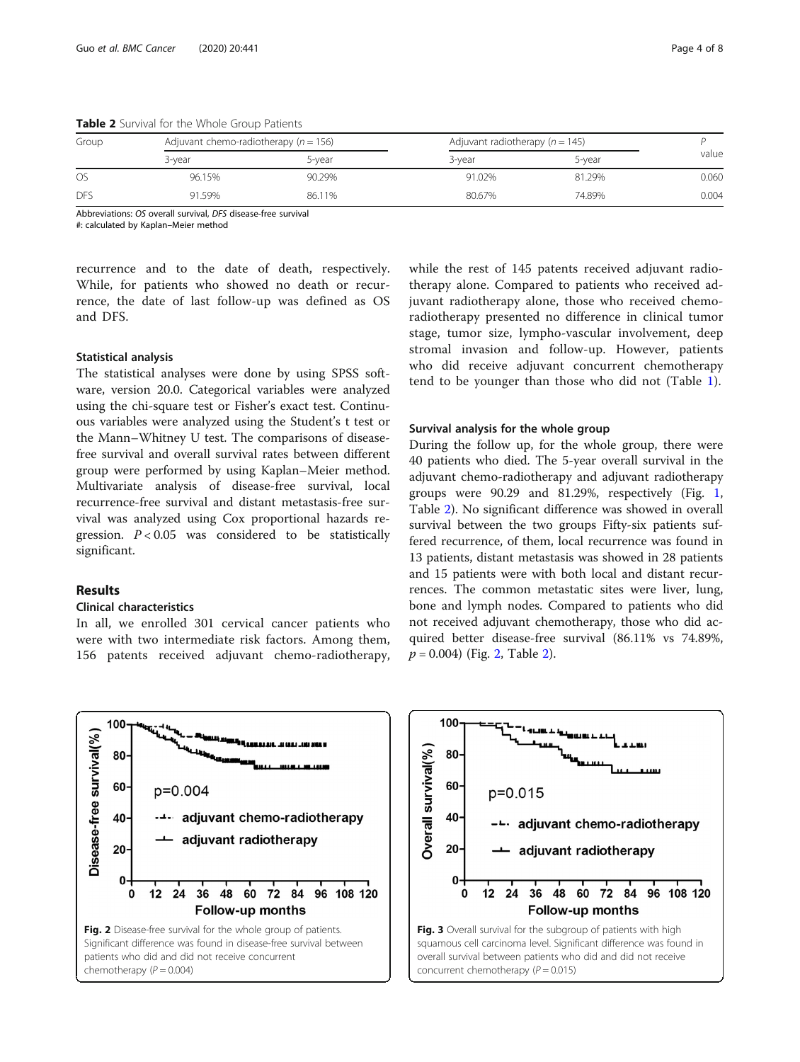| Group      | Adjuvant chemo-radiotherapy ( $n = 156$ ) |        |        | Adjuvant radiotherapy ( $n = 145$ ) |       |  |
|------------|-------------------------------------------|--------|--------|-------------------------------------|-------|--|
|            | 3-vear                                    | 5-vear | 3-vear | 5-vear                              | value |  |
| <b>OS</b>  | 96.15%                                    | 90.29% | 91.02% | 81.29%                              | 0.060 |  |
| <b>DFS</b> | 91.59%                                    | 86.11% | 80.67% | 74.89%                              | 0.004 |  |

<span id="page-3-0"></span>Table 2 Survival for the Whole Group Patients

Abbreviations: OS overall survival, DFS disease-free survival

#: calculated by Kaplan–Meier method

recurrence and to the date of death, respectively. While, for patients who showed no death or recurrence, the date of last follow-up was defined as OS and DFS.

# Statistical analysis

The statistical analyses were done by using SPSS software, version 20.0. Categorical variables were analyzed using the chi-square test or Fisher's exact test. Continuous variables were analyzed using the Student's t test or the Mann–Whitney U test. The comparisons of diseasefree survival and overall survival rates between different group were performed by using Kaplan–Meier method. Multivariate analysis of disease-free survival, local recurrence-free survival and distant metastasis-free survival was analyzed using Cox proportional hazards regression.  $P < 0.05$  was considered to be statistically significant.

# **Results**

# Clinical characteristics

In all, we enrolled 301 cervical cancer patients who were with two intermediate risk factors. Among them, 156 patents received adjuvant chemo-radiotherapy, while the rest of 145 patents received adjuvant radiotherapy alone. Compared to patients who received adjuvant radiotherapy alone, those who received chemoradiotherapy presented no difference in clinical tumor stage, tumor size, lympho-vascular involvement, deep stromal invasion and follow-up. However, patients who did receive adjuvant concurrent chemotherapy tend to be younger than those who did not (Table [1\)](#page-2-0).

# Survival analysis for the whole group

During the follow up, for the whole group, there were 40 patients who died. The 5-year overall survival in the adjuvant chemo-radiotherapy and adjuvant radiotherapy groups were 90.29 and 81.29%, respectively (Fig. [1](#page-2-0), Table 2). No significant difference was showed in overall survival between the two groups Fifty-six patients suffered recurrence, of them, local recurrence was found in 13 patients, distant metastasis was showed in 28 patients and 15 patients were with both local and distant recurrences. The common metastatic sites were liver, lung, bone and lymph nodes. Compared to patients who did not received adjuvant chemotherapy, those who did acquired better disease-free survival (86.11% vs 74.89%,  $p = 0.004$ ) (Fig. 2, Table 2).



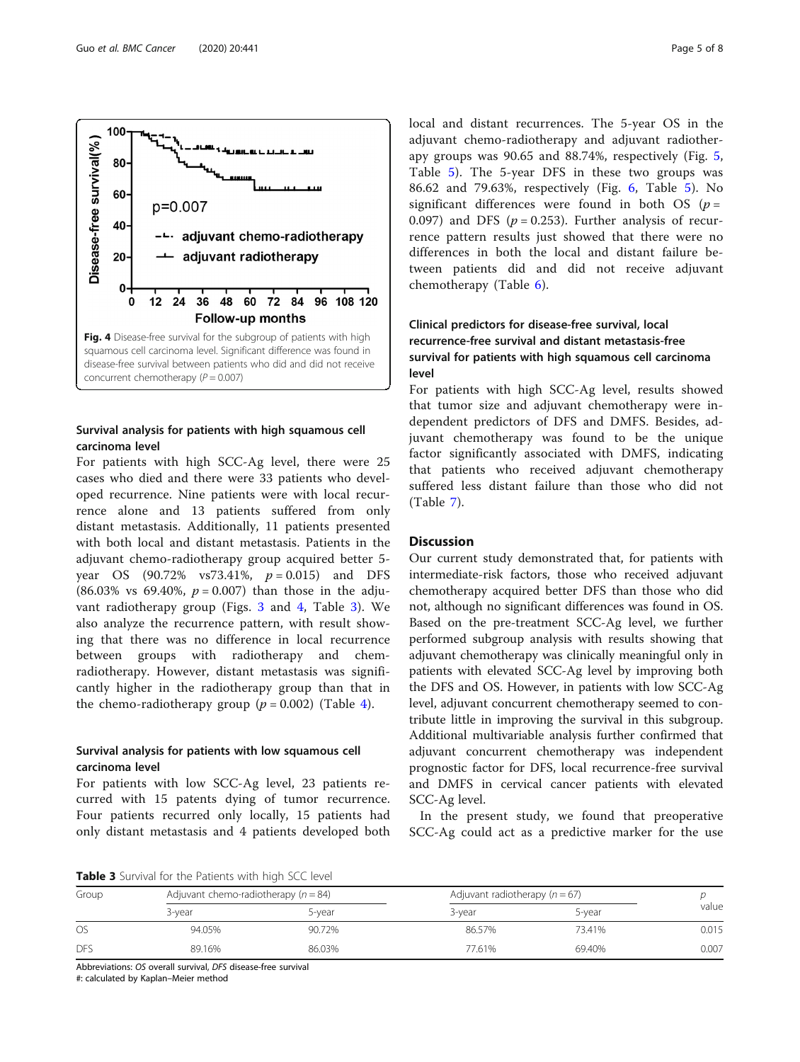

# Survival analysis for patients with high squamous cell carcinoma level

For patients with high SCC-Ag level, there were 25 cases who died and there were 33 patients who developed recurrence. Nine patients were with local recurrence alone and 13 patients suffered from only distant metastasis. Additionally, 11 patients presented with both local and distant metastasis. Patients in the adjuvant chemo-radiotherapy group acquired better 5 year OS  $(90.72\% \text{ vs } 73.41\%, p = 0.015)$  and DFS (86.03% vs 69.40%,  $p = 0.007$ ) than those in the adjuvant radiotherapy group (Figs. [3](#page-3-0) and 4, Table 3). We also analyze the recurrence pattern, with result showing that there was no difference in local recurrence between groups with radiotherapy and chemradiotherapy. However, distant metastasis was significantly higher in the radiotherapy group than that in the chemo-radiotherapy group ( $p = 0.002$ ) (Table [4](#page-5-0)).

# Survival analysis for patients with low squamous cell carcinoma level

For patients with low SCC-Ag level, 23 patients recurred with 15 patents dying of tumor recurrence. Four patients recurred only locally, 15 patients had only distant metastasis and 4 patients developed both local and distant recurrences. The 5-year OS in the adjuvant chemo-radiotherapy and adjuvant radiotherapy groups was 90.65 and 88.74%, respectively (Fig. [5](#page-5-0), Table [5\)](#page-5-0). The 5-year DFS in these two groups was 86.62 and 79.63%, respectively (Fig. [6](#page-5-0), Table [5\)](#page-5-0). No significant differences were found in both OS ( $p =$ 0.097) and DFS ( $p = 0.253$ ). Further analysis of recurrence pattern results just showed that there were no differences in both the local and distant failure between patients did and did not receive adjuvant chemotherapy (Table [6](#page-6-0)).

# Clinical predictors for disease-free survival, local recurrence-free survival and distant metastasis-free survival for patients with high squamous cell carcinoma level

For patients with high SCC-Ag level, results showed that tumor size and adjuvant chemotherapy were independent predictors of DFS and DMFS. Besides, adjuvant chemotherapy was found to be the unique factor significantly associated with DMFS, indicating that patients who received adjuvant chemotherapy suffered less distant failure than those who did not (Table [7](#page-6-0)).

# **Discussion**

Our current study demonstrated that, for patients with intermediate-risk factors, those who received adjuvant chemotherapy acquired better DFS than those who did not, although no significant differences was found in OS. Based on the pre-treatment SCC-Ag level, we further performed subgroup analysis with results showing that adjuvant chemotherapy was clinically meaningful only in patients with elevated SCC-Ag level by improving both the DFS and OS. However, in patients with low SCC-Ag level, adjuvant concurrent chemotherapy seemed to contribute little in improving the survival in this subgroup. Additional multivariable analysis further confirmed that adjuvant concurrent chemotherapy was independent prognostic factor for DFS, local recurrence-free survival and DMFS in cervical cancer patients with elevated SCC-Ag level.

In the present study, we found that preoperative SCC-Ag could act as a predictive marker for the use

Table 3 Survival for the Patients with high SCC level

| Group      | Adjuvant chemo-radiotherapy ( $n = 84$ ) |        |        | Adjuvant radiotherapy $(n = 67)$ |       |  |
|------------|------------------------------------------|--------|--------|----------------------------------|-------|--|
|            | 3-vear                                   | 5-year | 3-year | 5-year                           | value |  |
| <b>OS</b>  | 94.05%                                   | 90.72% | 86.57% | 73.41%                           | 0.015 |  |
| <b>DFS</b> | 89.16%                                   | 86.03% | 77.61% | 69.40%                           | 0.007 |  |

Abbreviations: OS overall survival, DFS disease-free survival #: calculated by Kaplan–Meier method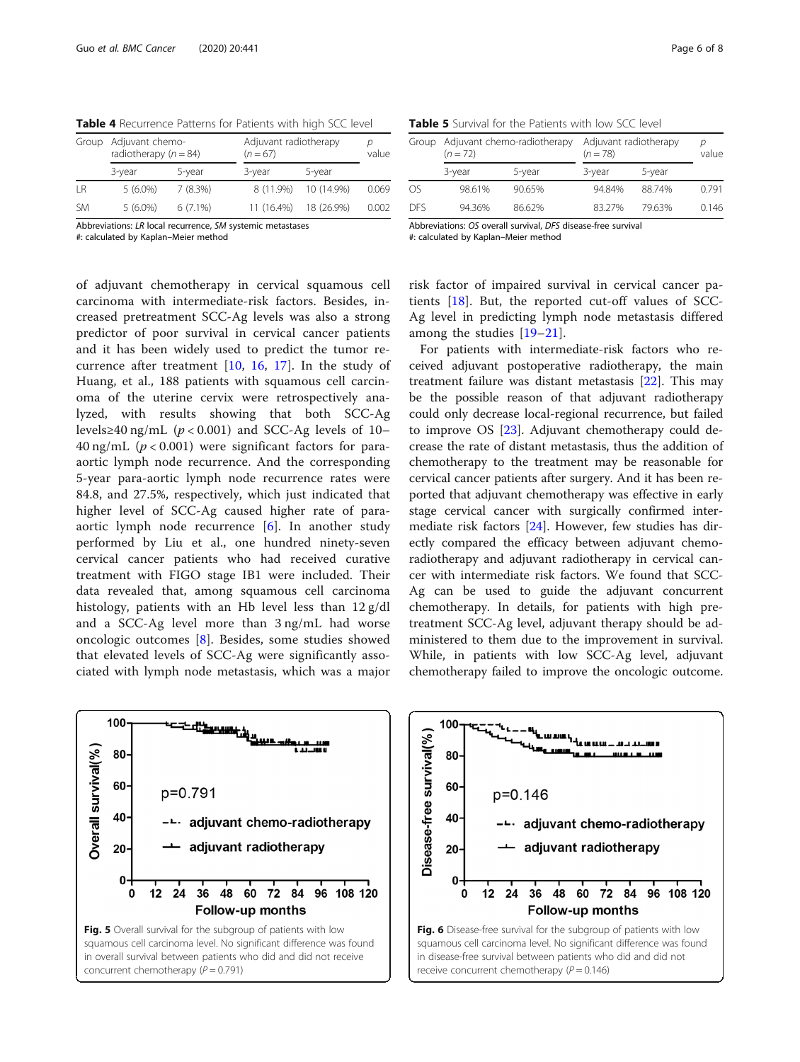<span id="page-5-0"></span>Table 4 Recurrence Patterns for Patients with high SCC level

|                | Group Adjuvant chemo-<br>radiotherapy $(n = 84)$ |            | $(n = 67)$ | Adjuvant radiotherapy |       |
|----------------|--------------------------------------------------|------------|------------|-----------------------|-------|
|                | 3-year                                           | 5-year     | 3-year     | 5-year                |       |
| $\overline{R}$ | $5(6.0\%)$                                       | 7(8.3%)    | 8 (11.9%)  | 10 (14.9%)            | 0.069 |
| <b>SM</b>      | $5(6.0\%)$                                       | $6(7.1\%)$ | 11 (16.4%) | 18 (26.9%)            | 0.002 |

Table 5 Survival for the Patients with low SCC level

|     | $(n = 72)$ | Group Adjuvant chemo-radiotherapy | Adjuvant radiotherapy<br>$(n = 78)$ |        | D<br>value |
|-----|------------|-----------------------------------|-------------------------------------|--------|------------|
|     | 3-year     | 5-year                            | 3-year                              | 5-year |            |
| OS  | 98.61%     | 90.65%                            | 94 84%                              | 8874%  | 0.791      |
| DES | 9436%      | 86.62%                            | 83 27%                              | 7963%  | 0.146      |

Abbreviations: LR local recurrence, SM systemic metastases

#: calculated by Kaplan–Meier method

Abbreviations: OS overall survival, DFS disease-free survival #: calculated by Kaplan–Meier method

of adjuvant chemotherapy in cervical squamous cell carcinoma with intermediate-risk factors. Besides, increased pretreatment SCC-Ag levels was also a strong predictor of poor survival in cervical cancer patients and it has been widely used to predict the tumor recurrence after treatment [[10](#page-7-0), [16](#page-7-0), [17\]](#page-7-0). In the study of Huang, et al., 188 patients with squamous cell carcinoma of the uterine cervix were retrospectively analyzed, with results showing that both SCC-Ag levels≥40 ng/mL ( $p < 0.001$ ) and SCC-Ag levels of 10– 40 ng/mL ( $p < 0.001$ ) were significant factors for paraaortic lymph node recurrence. And the corresponding 5-year para-aortic lymph node recurrence rates were 84.8, and 27.5%, respectively, which just indicated that higher level of SCC-Ag caused higher rate of paraaortic lymph node recurrence [[6\]](#page-7-0). In another study performed by Liu et al., one hundred ninety-seven cervical cancer patients who had received curative treatment with FIGO stage IB1 were included. Their data revealed that, among squamous cell carcinoma histology, patients with an Hb level less than 12 g/dl and a SCC-Ag level more than 3 ng/mL had worse oncologic outcomes [[8\]](#page-7-0). Besides, some studies showed that elevated levels of SCC-Ag were significantly associated with lymph node metastasis, which was a major

risk factor of impaired survival in cervical cancer patients [\[18](#page-7-0)]. But, the reported cut-off values of SCC-Ag level in predicting lymph node metastasis differed among the studies [[19](#page-7-0)–[21](#page-7-0)].

For patients with intermediate-risk factors who received adjuvant postoperative radiotherapy, the main treatment failure was distant metastasis [[22](#page-7-0)]. This may be the possible reason of that adjuvant radiotherapy could only decrease local-regional recurrence, but failed to improve OS [\[23](#page-7-0)]. Adjuvant chemotherapy could decrease the rate of distant metastasis, thus the addition of chemotherapy to the treatment may be reasonable for cervical cancer patients after surgery. And it has been reported that adjuvant chemotherapy was effective in early stage cervical cancer with surgically confirmed intermediate risk factors [\[24](#page-7-0)]. However, few studies has directly compared the efficacy between adjuvant chemoradiotherapy and adjuvant radiotherapy in cervical cancer with intermediate risk factors. We found that SCC-Ag can be used to guide the adjuvant concurrent chemotherapy. In details, for patients with high pretreatment SCC-Ag level, adjuvant therapy should be administered to them due to the improvement in survival. While, in patients with low SCC-Ag level, adjuvant chemotherapy failed to improve the oncologic outcome.



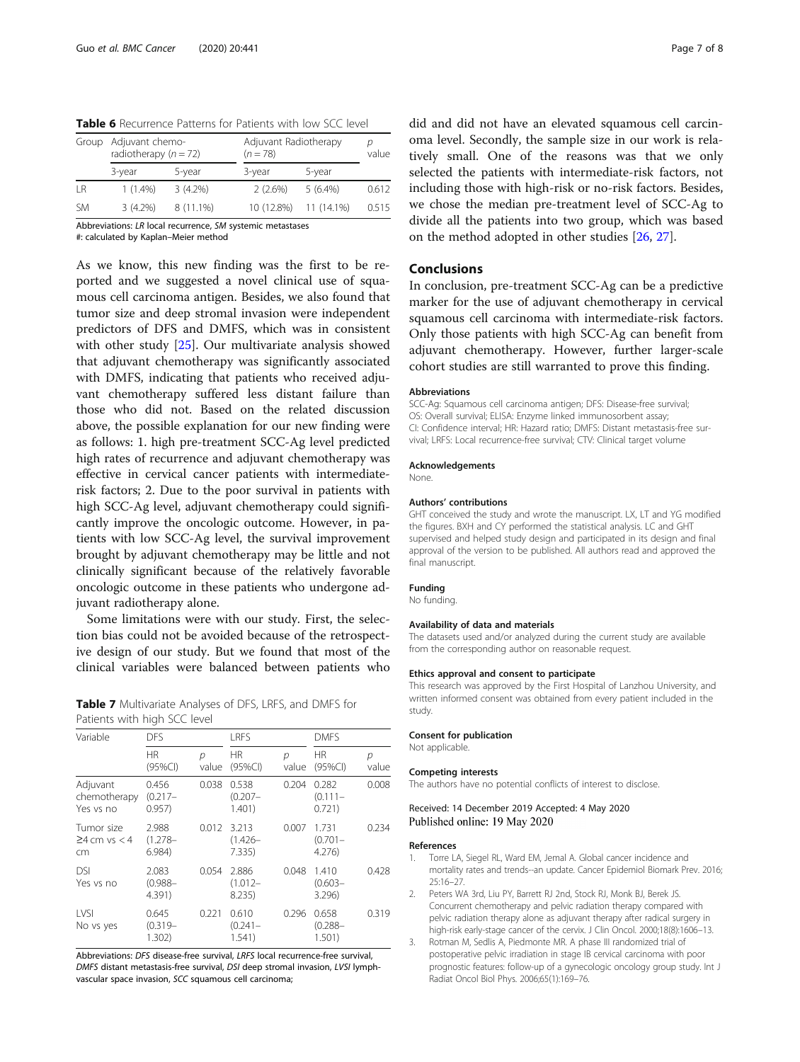<span id="page-6-0"></span>Table 6 Recurrence Patterns for Patients with low SCC level

| Adjuvant chemo-<br>Group<br>radiotherapy $(n = 72)$ |            |             | Adjuvant Radiotherapy<br>$(n = 78)$ |              | D<br>value |
|-----------------------------------------------------|------------|-------------|-------------------------------------|--------------|------------|
|                                                     | 3-year     | 5-year      | 3-year                              | 5-year       |            |
| IR.                                                 | $1(1.4\%)$ | $3(4.2\%)$  | 2(2.6%)                             | $5(6.4\%)$   | 0.612      |
| <b>SM</b>                                           | $3(4.2\%)$ | $8(11.1\%)$ | 10 (12.8%)                          | $11(14.1\%)$ | 0.515      |

Abbreviations: LR local recurrence, SM systemic metastases

#: calculated by Kaplan–Meier method

As we know, this new finding was the first to be reported and we suggested a novel clinical use of squamous cell carcinoma antigen. Besides, we also found that tumor size and deep stromal invasion were independent predictors of DFS and DMFS, which was in consistent with other study [[25\]](#page-7-0). Our multivariate analysis showed that adjuvant chemotherapy was significantly associated with DMFS, indicating that patients who received adjuvant chemotherapy suffered less distant failure than those who did not. Based on the related discussion above, the possible explanation for our new finding were as follows: 1. high pre-treatment SCC-Ag level predicted high rates of recurrence and adjuvant chemotherapy was effective in cervical cancer patients with intermediaterisk factors; 2. Due to the poor survival in patients with high SCC-Ag level, adjuvant chemotherapy could significantly improve the oncologic outcome. However, in patients with low SCC-Ag level, the survival improvement brought by adjuvant chemotherapy may be little and not clinically significant because of the relatively favorable oncologic outcome in these patients who undergone adjuvant radiotherapy alone.

Some limitations were with our study. First, the selection bias could not be avoided because of the retrospective design of our study. But we found that most of the clinical variables were balanced between patients who

Table 7 Multivariate Analyses of DFS, LRFS, and DMFS for Patients with high SCC level

| Variable                               | <b>DFS</b>                    |            | <b>LRFS</b>                   |            | <b>DMFS</b>                   |            |
|----------------------------------------|-------------------------------|------------|-------------------------------|------------|-------------------------------|------------|
|                                        | <b>HR</b><br>$(95\%CI)$       | p<br>value | <b>HR</b><br>$(95\%CI)$       | D<br>value | ΗR<br>$(95\%CI)$              | D<br>value |
| Adjuvant<br>chemotherapy<br>Yes vs no  | 0.456<br>$(0.217 -$<br>0.957  | 0.038      | 0.538<br>$(0.207 -$<br>1.401) | 0.204      | 0.282<br>$(0.111 -$<br>0.721) | 0.008      |
| Tumor size<br>$\geq$ 4 cm vs < 4<br>cm | 2.988<br>$(1.278 -$<br>6.984) | 0.012      | 3.213<br>$(1.426 -$<br>7.335  | 0.007      | 1.731<br>$(0.701 -$<br>4.276) | 0.234      |
| <b>DSI</b><br>Yes vs no                | 2.083<br>$(0.988 -$<br>4.391) | 0.054      | 2.886<br>$(1.012 -$<br>8.235  | 0.048      | 1.410<br>$(0.603 -$<br>3.296) | 0.428      |
| LVSI<br>No vs yes                      | 0.645<br>$(0.319 -$<br>1.302) | 0.221      | 0.610<br>$(0.241 -$<br>1.541) | 0.296      | 0.658<br>$(0.288 -$<br>1.501) | 0.319      |

Abbreviations: DFS disease-free survival, LRFS local recurrence-free survival, DMFS distant metastasis-free survival, DSI deep stromal invasion, LVSI lymphvascular space invasion, SCC squamous cell carcinoma;

did and did not have an elevated squamous cell carcinoma level. Secondly, the sample size in our work is relatively small. One of the reasons was that we only selected the patients with intermediate-risk factors, not including those with high-risk or no-risk factors. Besides, we chose the median pre-treatment level of SCC-Ag to divide all the patients into two group, which was based on the method adopted in other studies [[26,](#page-7-0) [27\]](#page-7-0).

# Conclusions

In conclusion, pre-treatment SCC-Ag can be a predictive marker for the use of adjuvant chemotherapy in cervical squamous cell carcinoma with intermediate-risk factors. Only those patients with high SCC-Ag can benefit from adjuvant chemotherapy. However, further larger-scale cohort studies are still warranted to prove this finding.

#### Abbreviations

SCC-Ag: Squamous cell carcinoma antigen; DFS: Disease-free survival; OS: Overall survival; ELISA: Enzyme linked immunosorbent assay; CI: Confidence interval; HR: Hazard ratio; DMFS: Distant metastasis-free survival; LRFS: Local recurrence-free survival; CTV: Clinical target volume

#### Acknowledgements

None.

## Authors' contributions

GHT conceived the study and wrote the manuscript. LX, LT and YG modified the figures. BXH and CY performed the statistical analysis. LC and GHT supervised and helped study design and participated in its design and final approval of the version to be published. All authors read and approved the final manuscript.

#### Funding

No funding.

# Availability of data and materials

The datasets used and/or analyzed during the current study are available from the corresponding author on reasonable request.

#### Ethics approval and consent to participate

This research was approved by the First Hospital of Lanzhou University, and written informed consent was obtained from every patient included in the study.

#### Consent for publication

Not applicable.

#### Competing interests

The authors have no potential conflicts of interest to disclose.

#### Received: 14 December 2019 Accepted: 4 May 2020 Published online: 19 May 2020

#### References

- 1. Torre LA, Siegel RL, Ward EM, Jemal A. Global cancer incidence and mortality rates and trends--an update. Cancer Epidemiol Biomark Prev. 2016; 25:16–27.
- 2. Peters WA 3rd, Liu PY, Barrett RJ 2nd, Stock RJ, Monk BJ, Berek JS. Concurrent chemotherapy and pelvic radiation therapy compared with pelvic radiation therapy alone as adjuvant therapy after radical surgery in high-risk early-stage cancer of the cervix. J Clin Oncol. 2000;18(8):1606–13.
- 3. Rotman M, Sedlis A, Piedmonte MR. A phase III randomized trial of postoperative pelvic irradiation in stage IB cervical carcinoma with poor prognostic features: follow-up of a gynecologic oncology group study. Int J Radiat Oncol Biol Phys. 2006;65(1):169–76.